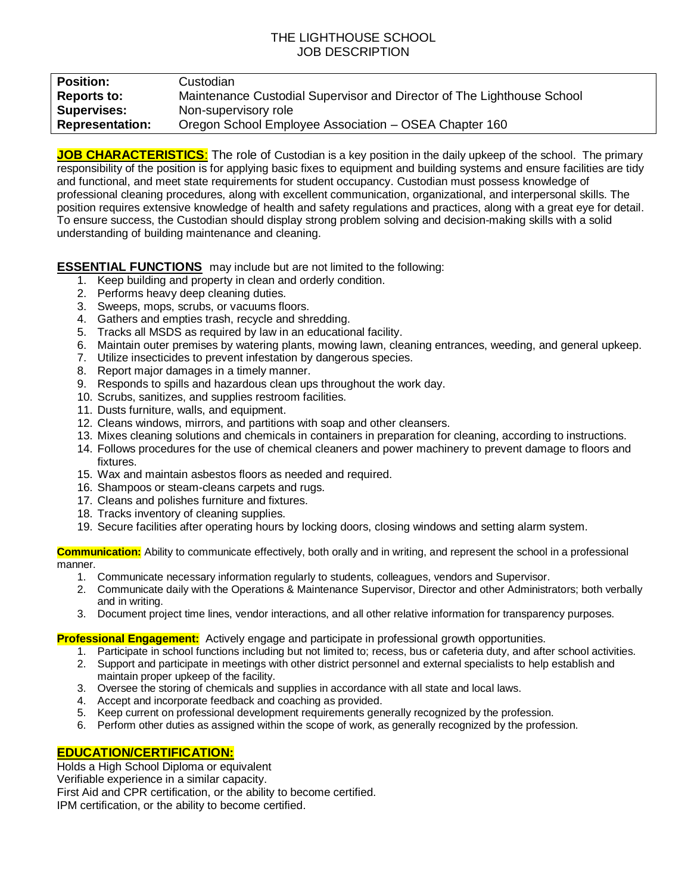## THE LIGHTHOUSE SCHOOL JOB DESCRIPTION

| <b>Position:</b>       | Custodian                                                              |
|------------------------|------------------------------------------------------------------------|
| <b>Reports to:</b>     | Maintenance Custodial Supervisor and Director of The Lighthouse School |
| <b>Supervises:</b>     | Non-supervisory role                                                   |
| <b>Representation:</b> | Oregon School Employee Association – OSEA Chapter 160                  |

**JOB CHARACTERISTICS**: The role of Custodian is a key position in the daily upkeep of the school. The primary responsibility of the position is for applying basic fixes to equipment and building systems and ensure facilities are tidy and functional, and meet state requirements for student occupancy. Custodian must possess knowledge of professional cleaning procedures, along with excellent communication, organizational, and interpersonal skills. The position requires extensive knowledge of health and safety regulations and practices, along with a great eye for detail. To ensure success, the Custodian should display strong problem solving and decision-making skills with a solid understanding of building maintenance and cleaning.

**ESSENTIAL FUNCTIONS** may include but are not limited to the following:

- 1. Keep building and property in clean and orderly condition.
- 2. Performs heavy deep cleaning duties.
- 3. Sweeps, mops, scrubs, or vacuums floors.
- 4. Gathers and empties trash, recycle and shredding.
- 5. Tracks all MSDS as required by law in an educational facility.
- 6. Maintain outer premises by watering plants, mowing lawn, cleaning entrances, weeding, and general upkeep.
- 7. Utilize insecticides to prevent infestation by dangerous species.
- 8. Report major damages in a timely manner.
- 9. Responds to spills and hazardous clean ups throughout the work day.
- 10. Scrubs, sanitizes, and supplies restroom facilities.
- 11. Dusts furniture, walls, and equipment.
- 12. Cleans windows, mirrors, and partitions with soap and other cleansers.
- 13. Mixes cleaning solutions and chemicals in containers in preparation for cleaning, according to instructions.
- 14. Follows procedures for the use of chemical cleaners and power machinery to prevent damage to floors and fixtures.
- 15. Wax and maintain asbestos floors as needed and required.
- 16. Shampoos or steam-cleans carpets and rugs.
- 17. Cleans and polishes furniture and fixtures.
- 18. Tracks inventory of cleaning supplies.
- 19. Secure facilities after operating hours by locking doors, closing windows and setting alarm system.

**Communication:** Ability to communicate effectively, both orally and in writing, and represent the school in a professional manner.

- 1. Communicate necessary information regularly to students, colleagues, vendors and Supervisor.
- 2. Communicate daily with the Operations & Maintenance Supervisor, Director and other Administrators; both verbally and in writing.
- 3. Document project time lines, vendor interactions, and all other relative information for transparency purposes.

#### **Professional Engagement:** Actively engage and participate in professional growth opportunities.

- 1. Participate in school functions including but not limited to; recess, bus or cafeteria duty, and after school activities.
- 2. Support and participate in meetings with other district personnel and external specialists to help establish and maintain proper upkeep of the facility.
- 3. Oversee the storing of chemicals and supplies in accordance with all state and local laws.
- 4. Accept and incorporate feedback and coaching as provided.
- 5. Keep current on professional development requirements generally recognized by the profession.
- 6. Perform other duties as assigned within the scope of work, as generally recognized by the profession.

### **EDUCATION/CERTIFICATION:**

Holds a High School Diploma or equivalent

Verifiable experience in a similar capacity.

First Aid and CPR certification, or the ability to become certified.

IPM certification, or the ability to become certified.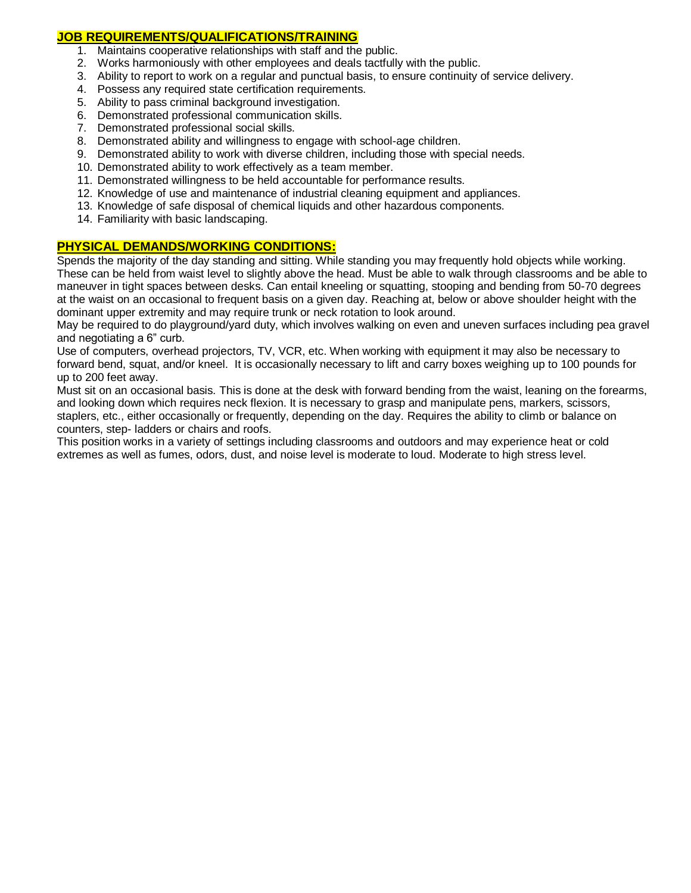## **JOB REQUIREMENTS/QUALIFICATIONS/TRAINING**

- 1. Maintains cooperative relationships with staff and the public.
- 2. Works harmoniously with other employees and deals tactfully with the public.
- 3. Ability to report to work on a regular and punctual basis, to ensure continuity of service delivery.
- 4. Possess any required state certification requirements.
- 5. Ability to pass criminal background investigation.
- 6. Demonstrated professional communication skills.
- 7. Demonstrated professional social skills.
- 8. Demonstrated ability and willingness to engage with school-age children.
- 9. Demonstrated ability to work with diverse children, including those with special needs.
- 10. Demonstrated ability to work effectively as a team member.
- 11. Demonstrated willingness to be held accountable for performance results.
- 12. Knowledge of use and maintenance of industrial cleaning equipment and appliances.
- 13. Knowledge of safe disposal of chemical liquids and other hazardous components.
- 14. Familiarity with basic landscaping.

## **PHYSICAL DEMANDS/WORKING CONDITIONS:**

Spends the majority of the day standing and sitting. While standing you may frequently hold objects while working. These can be held from waist level to slightly above the head. Must be able to walk through classrooms and be able to maneuver in tight spaces between desks. Can entail kneeling or squatting, stooping and bending from 50-70 degrees at the waist on an occasional to frequent basis on a given day. Reaching at, below or above shoulder height with the dominant upper extremity and may require trunk or neck rotation to look around.

May be required to do playground/yard duty, which involves walking on even and uneven surfaces including pea gravel and negotiating a 6" curb.

Use of computers, overhead projectors, TV, VCR, etc. When working with equipment it may also be necessary to forward bend, squat, and/or kneel. It is occasionally necessary to lift and carry boxes weighing up to 100 pounds for up to 200 feet away.

Must sit on an occasional basis. This is done at the desk with forward bending from the waist, leaning on the forearms, and looking down which requires neck flexion. It is necessary to grasp and manipulate pens, markers, scissors, staplers, etc., either occasionally or frequently, depending on the day. Requires the ability to climb or balance on counters, step- ladders or chairs and roofs.

This position works in a variety of settings including classrooms and outdoors and may experience heat or cold extremes as well as fumes, odors, dust, and noise level is moderate to loud. Moderate to high stress level.